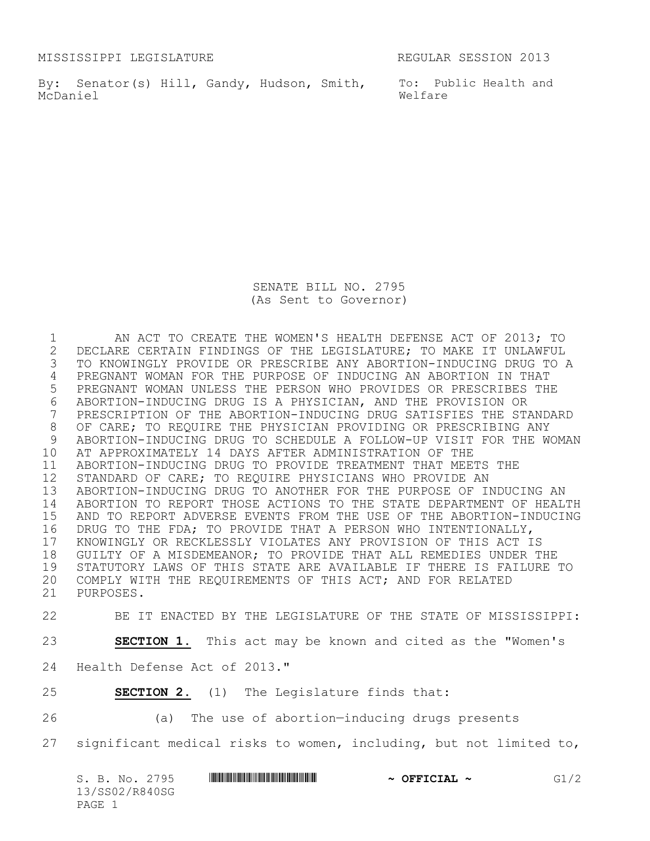MISSISSIPPI LEGISLATURE REGULAR SESSION 2013

By: Senator(s) Hill, Gandy, Hudson, Smith, To: Public Health and McDaniel

Welfare

SENATE BILL NO. 2795 (As Sent to Governor)

 AN ACT TO CREATE THE WOMEN'S HEALTH DEFENSE ACT OF 2013; TO 2 DECLARE CERTAIN FINDINGS OF THE LEGISLATURE; TO MAKE IT UNLAWFUL<br>3 TO KNOWINGLY PROVIDE OR PRESCRIBE ANY ABORTION-INDUCING DRUG TO *1*  TO KNOWINGLY PROVIDE OR PRESCRIBE ANY ABORTION-INDUCING DRUG TO A PREGNANT WOMAN FOR THE PURPOSE OF INDUCING AN ABORTION IN THAT PREGNANT WOMAN UNLESS THE PERSON WHO PROVIDES OR PRESCRIBES THE ABORTION-INDUCING DRUG IS A PHYSICIAN, AND THE PROVISION OR PRESCRIPTION OF THE ABORTION-INDUCING DRUG SATISFIES THE STANDARD OF CARE; TO REQUIRE THE PHYSICIAN PROVIDING OR PRESCRIBING ANY ABORTION-INDUCING DRUG TO SCHEDULE A FOLLOW-UP VISIT FOR THE WOMAN AT APPROXIMATELY 14 DAYS AFTER ADMINISTRATION OF THE ABORTION-INDUCING DRUG TO PROVIDE TREATMENT THAT MEETS THE STANDARD OF CARE; TO REQUIRE PHYSICIANS WHO PROVIDE AN ABORTION-INDUCING DRUG TO ANOTHER FOR THE PURPOSE OF INDUCING AN ABORTION TO REPORT THOSE ACTIONS TO THE STATE DEPARTMENT OF HEALTH AND TO REPORT ADVERSE EVENTS FROM THE USE OF THE ABORTION-INDUCING DRUG TO THE FDA; TO PROVIDE THAT A PERSON WHO INTENTIONALLY, 17 KNOWINGLY OR RECKLESSLY VIOLATES ANY PROVISION OF THIS ACT IS<br>18 GUILTY OF A MISDEMEANOR; TO PROVIDE THAT ALL REMEDIES UNDER T GUILTY OF A MISDEMEANOR; TO PROVIDE THAT ALL REMEDIES UNDER THE STATUTORY LAWS OF THIS STATE ARE AVAILABLE IF THERE IS FAILURE TO COMPLY WITH THE REQUIREMENTS OF THIS ACT; AND FOR RELATED PURPOSES.

BE IT ENACTED BY THE LEGISLATURE OF THE STATE OF MISSISSIPPI:

**SECTION 1.** This act may be known and cited as the "Women's

Health Defense Act of 2013."

**SECTION 2.** (1) The Legislature finds that:

(a) The use of abortion—inducing drugs presents

significant medical risks to women, including, but not limited to,

| S. B. No. 2795           | $\sim$ OFFICIAL $\sim$ | G1/2 |
|--------------------------|------------------------|------|
| 13/SS02/R840SG<br>PAGE 1 |                        |      |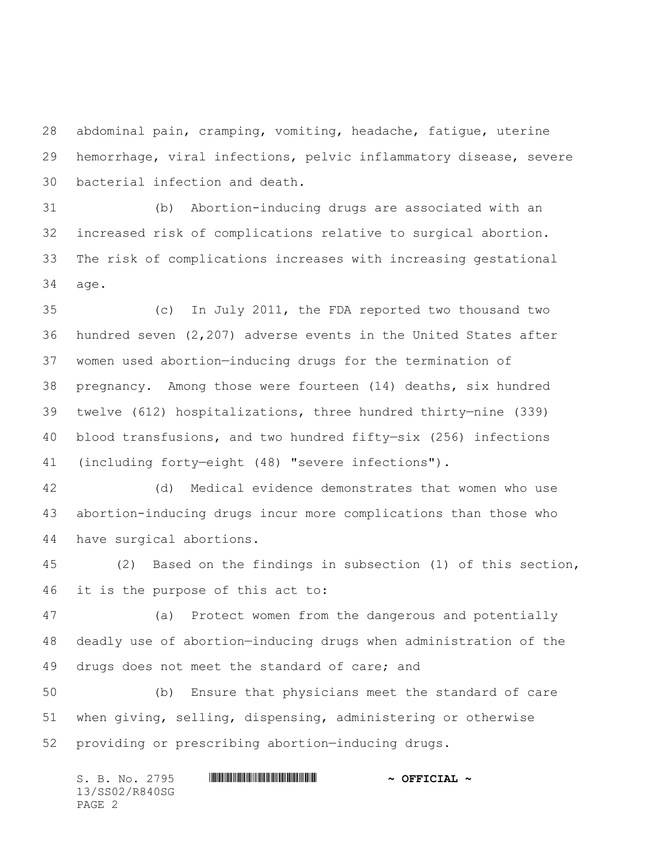abdominal pain, cramping, vomiting, headache, fatigue, uterine hemorrhage, viral infections, pelvic inflammatory disease, severe bacterial infection and death.

 (b) Abortion-inducing drugs are associated with an increased risk of complications relative to surgical abortion. The risk of complications increases with increasing gestational age.

 (c) In July 2011, the FDA reported two thousand two hundred seven (2,207) adverse events in the United States after women used abortion—inducing drugs for the termination of pregnancy. Among those were fourteen (14) deaths, six hundred twelve (612) hospitalizations, three hundred thirty—nine (339) blood transfusions, and two hundred fifty—six (256) infections (including forty—eight (48) "severe infections").

 (d) Medical evidence demonstrates that women who use abortion-inducing drugs incur more complications than those who have surgical abortions.

 (2) Based on the findings in subsection (1) of this section, it is the purpose of this act to:

 (a) Protect women from the dangerous and potentially deadly use of abortion—inducing drugs when administration of the 49 drugs does not meet the standard of care; and

 (b) Ensure that physicians meet the standard of care when giving, selling, dispensing, administering or otherwise providing or prescribing abortion—inducing drugs.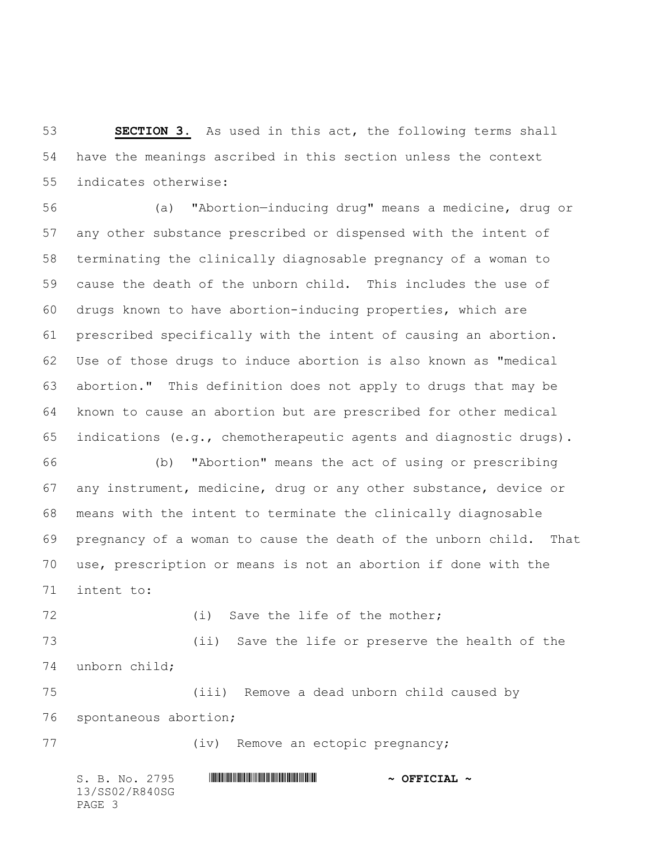**SECTION 3.** As used in this act, the following terms shall have the meanings ascribed in this section unless the context indicates otherwise:

 (a) "Abortion—inducing drug" means a medicine, drug or any other substance prescribed or dispensed with the intent of terminating the clinically diagnosable pregnancy of a woman to cause the death of the unborn child. This includes the use of drugs known to have abortion-inducing properties, which are prescribed specifically with the intent of causing an abortion. Use of those drugs to induce abortion is also known as "medical abortion." This definition does not apply to drugs that may be known to cause an abortion but are prescribed for other medical indications (e.g., chemotherapeutic agents and diagnostic drugs).

 (b) "Abortion" means the act of using or prescribing any instrument, medicine, drug or any other substance, device or means with the intent to terminate the clinically diagnosable pregnancy of a woman to cause the death of the unborn child. That use, prescription or means is not an abortion if done with the intent to:

72 (i) Save the life of the mother; (ii) Save the life or preserve the health of the unborn child;

 (iii) Remove a dead unborn child caused by spontaneous abortion;

77 (iv) Remove an ectopic pregnancy;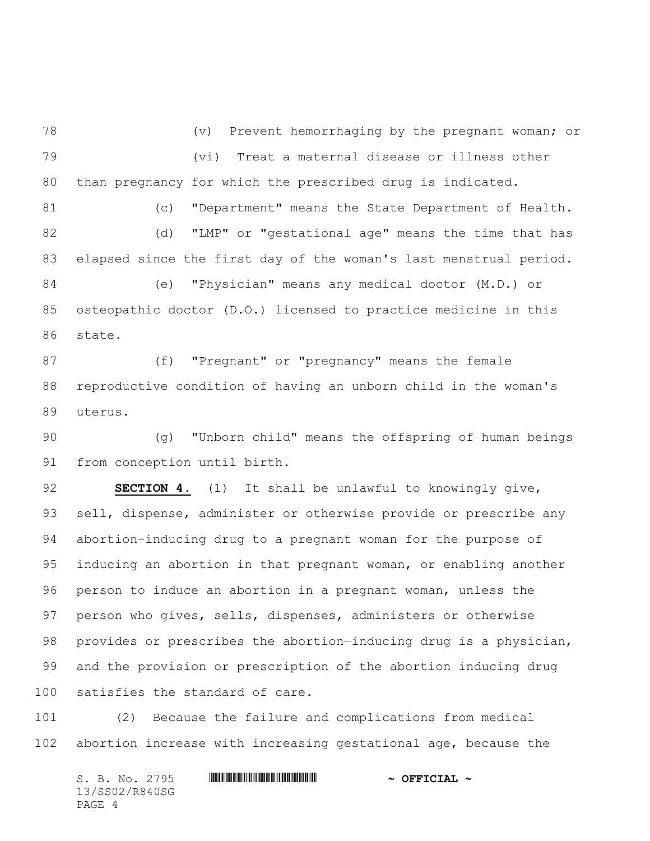(v) Prevent hemorrhaging by the pregnant woman; or (vi) Treat a maternal disease or illness other than pregnancy for which the prescribed drug is indicated.

81 (c) "Department" means the State Department of Health. (d) "LMP" or "gestational age" means the time that has elapsed since the first day of the woman's last menstrual period. (e) "Physician" means any medical doctor (M.D.) or osteopathic doctor (D.O.) licensed to practice medicine in this state.

 (f) "Pregnant" or "pregnancy" means the female reproductive condition of having an unborn child in the woman's uterus.

 (g) "Unborn child" means the offspring of human beings from conception until birth.

 **SECTION 4.** (1) It shall be unlawful to knowingly give, sell, dispense, administer or otherwise provide or prescribe any abortion-inducing drug to a pregnant woman for the purpose of inducing an abortion in that pregnant woman, or enabling another person to induce an abortion in a pregnant woman, unless the person who gives, sells, dispenses, administers or otherwise provides or prescribes the abortion—inducing drug is a physician, and the provision or prescription of the abortion inducing drug satisfies the standard of care.

 (2) Because the failure and complications from medical abortion increase with increasing gestational age, because the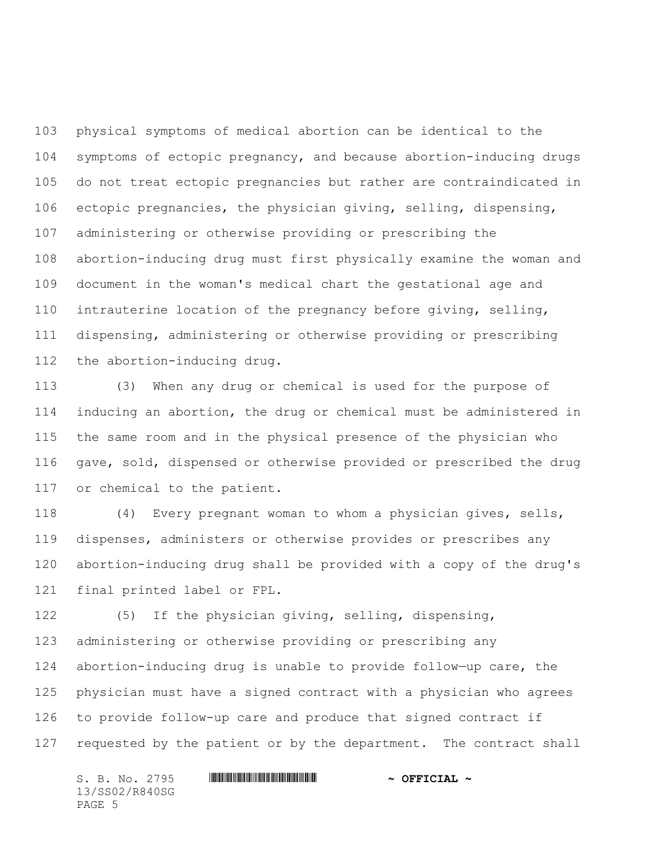physical symptoms of medical abortion can be identical to the symptoms of ectopic pregnancy, and because abortion-inducing drugs do not treat ectopic pregnancies but rather are contraindicated in ectopic pregnancies, the physician giving, selling, dispensing, administering or otherwise providing or prescribing the abortion-inducing drug must first physically examine the woman and document in the woman's medical chart the gestational age and intrauterine location of the pregnancy before giving, selling, dispensing, administering or otherwise providing or prescribing the abortion-inducing drug.

 (3) When any drug or chemical is used for the purpose of inducing an abortion, the drug or chemical must be administered in the same room and in the physical presence of the physician who gave, sold, dispensed or otherwise provided or prescribed the drug or chemical to the patient.

 (4) Every pregnant woman to whom a physician gives, sells, dispenses, administers or otherwise provides or prescribes any abortion-inducing drug shall be provided with a copy of the drug's final printed label or FPL.

 (5) If the physician giving, selling, dispensing, administering or otherwise providing or prescribing any abortion-inducing drug is unable to provide follow—up care, the physician must have a signed contract with a physician who agrees to provide follow-up care and produce that signed contract if requested by the patient or by the department. The contract shall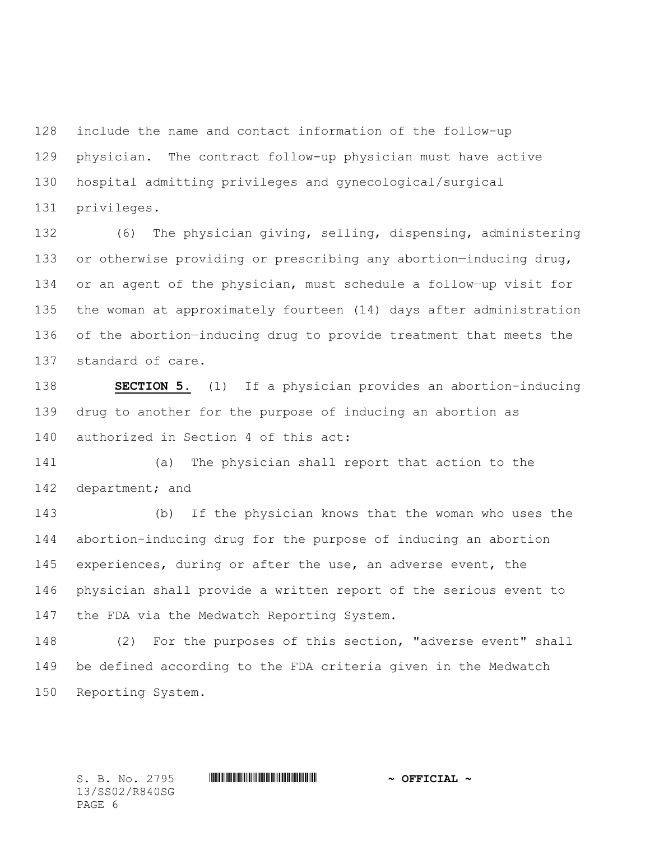include the name and contact information of the follow-up physician. The contract follow-up physician must have active hospital admitting privileges and gynecological/surgical privileges.

 (6) The physician giving, selling, dispensing, administering or otherwise providing or prescribing any abortion—inducing drug, or an agent of the physician, must schedule a follow—up visit for the woman at approximately fourteen (14) days after administration of the abortion—inducing drug to provide treatment that meets the standard of care.

 **SECTION 5.** (1) If a physician provides an abortion-inducing drug to another for the purpose of inducing an abortion as authorized in Section 4 of this act:

 (a) The physician shall report that action to the 142 department; and

 (b) If the physician knows that the woman who uses the abortion-inducing drug for the purpose of inducing an abortion experiences, during or after the use, an adverse event, the physician shall provide a written report of the serious event to 147 the FDA via the Medwatch Reporting System.

 (2) For the purposes of this section, "adverse event" shall be defined according to the FDA criteria given in the Medwatch Reporting System.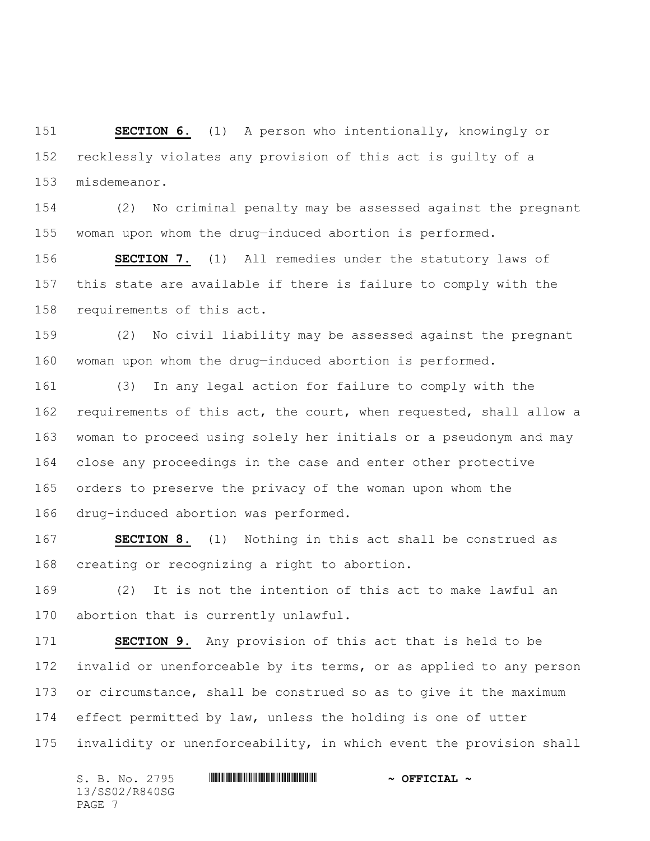**SECTION 6.** (1) A person who intentionally, knowingly or recklessly violates any provision of this act is guilty of a misdemeanor.

 (2) No criminal penalty may be assessed against the pregnant woman upon whom the drug—induced abortion is performed.

 **SECTION 7.** (1) All remedies under the statutory laws of this state are available if there is failure to comply with the requirements of this act.

 (2) No civil liability may be assessed against the pregnant woman upon whom the drug—induced abortion is performed.

 (3) In any legal action for failure to comply with the requirements of this act, the court, when requested, shall allow a woman to proceed using solely her initials or a pseudonym and may close any proceedings in the case and enter other protective orders to preserve the privacy of the woman upon whom the drug-induced abortion was performed.

 **SECTION 8.** (1) Nothing in this act shall be construed as creating or recognizing a right to abortion.

 (2) It is not the intention of this act to make lawful an abortion that is currently unlawful.

 **SECTION 9.** Any provision of this act that is held to be invalid or unenforceable by its terms, or as applied to any person or circumstance, shall be construed so as to give it the maximum effect permitted by law, unless the holding is one of utter invalidity or unenforceability, in which event the provision shall